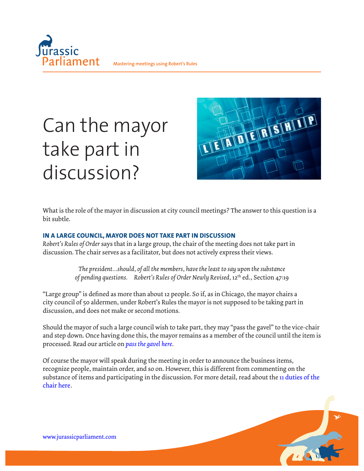

# Can the mayor take part in discussion?



What is the role of the mayor in discussion at city council meetings? The answer to this question is a bit subtle.

## **IN A LARGE COUNCIL, MAYOR DOES NOT TAKE PART IN DISCUSSION**

*Robert's Rules of Order* says that in a large group, the chair of the meeting does not take part in discussion. The chair serves as a facilitator, but does not actively express their views.

> *The president…should, of all the members, have the least to say upon the substance of pending questions. Robert's Rules of Order Newly Revised,* 12th ed., Section 47:19

"Large group" is defined as more than about 12 people. So if, as in Chicago, the mayor chairs a city council of 50 aldermen, under Robert's Rules the mayor is not supposed to be taking part in discussion, and does not make or second motions.

Should the mayor of such a large council wish to take part, they may "pass the gavel" to the vice-chair and step down. Once having done this, the mayor remains as a member of the council until the item is processed. Read our article on *[pass the gavel here](https://jurassicparliament.com/pass-the-gavel/)*.

Of course the mayor will speak during the meeting in order to announce the business items, recognize people, maintain order, and so on. However, this is different from commenting on the substance of items and participating in the discussion. For more detail, read about the [11 duties of the](https://jurassicparliament.com/wp-content/uploads/2021/07/Duties-of-Chair_2021.pdf) [chair here.](https://jurassicparliament.com/wp-content/uploads/2021/07/Duties-of-Chair_2021.pdf)

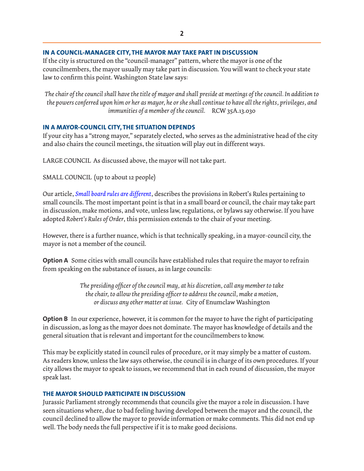### **IN A COUNCIL-MANAGER CITY, THE MAYOR MAY TAKE PART IN DISCUSSION**

If the city is structured on the "council-manager" pattern, where the mayor is one of the councilmembers, the mayor usually may take part in discussion. You will want to check your state law to confirm this point. Washington State law says:

*The chair of the council shall have the title of mayor and shall preside at meetings of the council. In addition to the powers conferred upon him or her as mayor, he or she shall continue to have all the rights, privileges, and immunities of a member of the council.* RCW 35A.13.030

## **IN A MAYOR-COUNCIL CITY, THE SITUATION DEPENDS**

If your city has a "strong mayor," separately elected, who serves as the administrative head of the city and also chairs the council meetings, the situation will play out in different ways.

LARGE COUNCIL As discussed above, the mayor will not take part.

SMALL COUNCIL (up to about 12 people)

Our article, *[Small board rules are different](https://jurassicparliament.com/small-board-rules/)*, describes the provisions in Robert's Rules pertaining to small councils. The most important point is that in a small board or council, the chair may take part in discussion, make motions, and vote, unless law, regulations, or bylaws say otherwise. If you have adopted *Robert's Rules of Order*, this permission extends to the chair of your meeting.

However, there is a further nuance, which is that technically speaking, in a mayor-council city, the mayor is not a member of the council.

**Option A** Some cities with small councils have established rules that require the mayor to refrain from speaking on the substance of issues, as in large councils:

> *The presiding officer of the council may, at his discretion, call any member to take the chair, to allow the presiding officer to address the council, make a motion, or discuss any other matter at issue.* City of Enumclaw Washington

**Option B** In our experience, however, it is common for the mayor to have the right of participating in discussion, as long as the mayor does not dominate. The mayor has knowledge of details and the general situation that is relevant and important for the councilmembers to know.

This may be explicitly stated in council rules of procedure, or it may simply be a matter of custom. As readers know, unless the law says otherwise, the council is in charge of its own procedures. If your city allows the mayor to speak to issues, we recommend that in each round of discussion, the mayor speak last.

## **THE MAYOR SHOULD PARTICIPATE IN DISCUSSION**

Jurassic Parliament strongly recommends that councils give the mayor a role in discussion. I have seen situations where, due to bad feeling having developed between the mayor and the council, the council declined to allow the mayor to provide information or make comments. This did not end up well. The body needs the full perspective if it is to make good decisions.